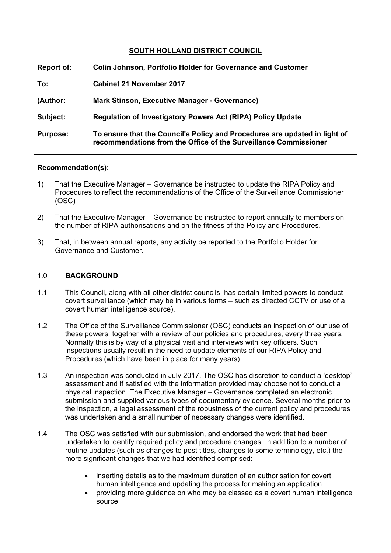# **SOUTH HOLLAND DISTRICT COUNCIL**

| Report of:      | <b>Colin Johnson, Portfolio Holder for Governance and Customer</b>                                                                             |
|-----------------|------------------------------------------------------------------------------------------------------------------------------------------------|
| To:             | <b>Cabinet 21 November 2017</b>                                                                                                                |
| (Author:        | <b>Mark Stinson, Executive Manager - Governance)</b>                                                                                           |
| Subject:        | <b>Regulation of Investigatory Powers Act (RIPA) Policy Update</b>                                                                             |
| <b>Purpose:</b> | To ensure that the Council's Policy and Procedures are updated in light of<br>recommendations from the Office of the Surveillance Commissioner |

#### **Recommendation(s):**

- 1) That the Executive Manager Governance be instructed to update the RIPA Policy and Procedures to reflect the recommendations of the Office of the Surveillance Commissioner (OSC)
- 2) That the Executive Manager Governance be instructed to report annually to members on the number of RIPA authorisations and on the fitness of the Policy and Procedures.
- 3) That, in between annual reports, any activity be reported to the Portfolio Holder for Governance and Customer.

#### 1.0 **BACKGROUND**

- 1.1 This Council, along with all other district councils, has certain limited powers to conduct covert surveillance (which may be in various forms – such as directed CCTV or use of a covert human intelligence source).
- 1.2 The Office of the Surveillance Commissioner (OSC) conducts an inspection of our use of these powers, together with a review of our policies and procedures, every three years. Normally this is by way of a physical visit and interviews with key officers. Such inspections usually result in the need to update elements of our RIPA Policy and Procedures (which have been in place for many years).
- 1.3 An inspection was conducted in July 2017. The OSC has discretion to conduct a 'desktop' assessment and if satisfied with the information provided may choose not to conduct a physical inspection. The Executive Manager – Governance completed an electronic submission and supplied various types of documentary evidence. Several months prior to the inspection, a legal assessment of the robustness of the current policy and procedures was undertaken and a small number of necessary changes were identified.
- 1.4 The OSC was satisfied with our submission, and endorsed the work that had been undertaken to identify required policy and procedure changes. In addition to a number of routine updates (such as changes to post titles, changes to some terminology, etc.) the more significant changes that we had identified comprised:
	- inserting details as to the maximum duration of an authorisation for covert human intelligence and updating the process for making an application.
	- providing more guidance on who may be classed as a covert human intelligence source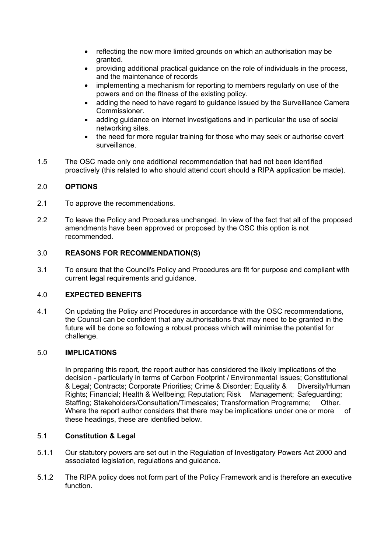- reflecting the now more limited grounds on which an authorisation may be granted.
- providing additional practical guidance on the role of individuals in the process, and the maintenance of records
- implementing a mechanism for reporting to members regularly on use of the powers and on the fitness of the existing policy.
- adding the need to have regard to guidance issued by the Surveillance Camera Commissioner.
- adding guidance on internet investigations and in particular the use of social networking sites.
- the need for more regular training for those who may seek or authorise covert surveillance.
- 1.5 The OSC made only one additional recommendation that had not been identified proactively (this related to who should attend court should a RIPA application be made).

# 2.0 **OPTIONS**

- 2.1 To approve the recommendations.
- 2.2 To leave the Policy and Procedures unchanged. In view of the fact that all of the proposed amendments have been approved or proposed by the OSC this option is not recommended.

# 3.0 **REASONS FOR RECOMMENDATION(S)**

3.1 To ensure that the Council's Policy and Procedures are fit for purpose and compliant with current legal requirements and guidance.

### 4.0 **EXPECTED BENEFITS**

4.1 On updating the Policy and Procedures in accordance with the OSC recommendations, the Council can be confident that any authorisations that may need to be granted in the future will be done so following a robust process which will minimise the potential for challenge.

### 5.0 **IMPLICATIONS**

In preparing this report, the report author has considered the likely implications of the decision - particularly in terms of Carbon Footprint / Environmental Issues; Constitutional & Legal; Contracts; Corporate Priorities; Crime & Disorder; Equality & Diversity/Human Rights; Financial; Health & Wellbeing; Reputation; Risk Management; Safeguarding; Staffing; Stakeholders/Consultation/Timescales; Transformation Programme; Other. Where the report author considers that there may be implications under one or more of these headings, these are identified below.

### 5.1 **Constitution & Legal**

- 5.1.1 Our statutory powers are set out in the Regulation of Investigatory Powers Act 2000 and associated legislation, regulations and guidance.
- 5.1.2 The RIPA policy does not form part of the Policy Framework and is therefore an executive function.